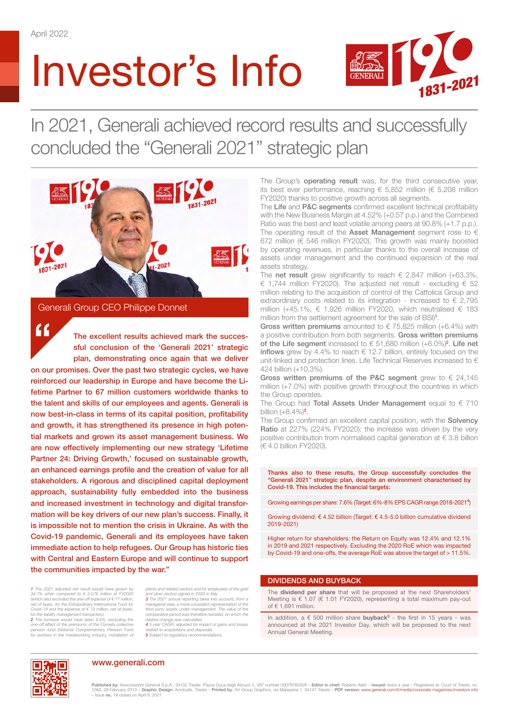"

# Investor's Info



In 2021, Generali achieved record results and successfully concluded the "Generali 2021" strategic plan



Generali Group CEO Philippe Donnet

The excellent results achieved mark the successful conclusion of the 'Generali 2021' strategic plan, demonstrating once again that we deliver

on our promises. Over the past two strategic cycles, we have reinforced our leadership in Europe and have become the Lifetime Partner to 67 million customers worldwide thanks to the talent and skills of our employees and agents. Generali is now best-in-class in terms of its capital position, profitability and growth, it has strengthened its presence in high potential markets and grown its asset management business. We are now effectively implementing our new strategy 'Lifetime Partner 24: Driving Growth,' focused on sustainable growth, an enhanced earnings profile and the creation of value for all stakeholders. A rigorous and disciplined capital deployment approach, sustainability fully embedded into the business and increased investment in technology and digital transformation will be key drivers of our new plan's success. Finally, it is impossible not to mention the crisis in Ukraine. As with the Covid-19 pandemic, Generali and its employees have taken immediate action to help refugees. Our Group has historic ties with Central and Eastern Europe and will continue to support the communities impacted by the war."

**1** The 2021 adjusted net result would have grown **b** *34.7% when compared to € 2,076 million at FY2020*  (which also excluded the one-off expense of € 77 million,<br>net of taxes, for the Extraordinary International Fund for<br>Covid-19 and the expense of € 73 million, net of taxes,<br>for the liability management transaction).

*2 The increase would have been 9.5%, excluding the one-off effect of the premiums of the Cometa collective pension fund (National Complementary Pension Fund for workers in the metalworking industry, installation of*  *plants and related sectors and for employees of the gold*  and silver sector) signed in 2020 in Italy.<br>3 The 2021 annual reporting takes into account, from a<br>managerial view, a more consistent representation of the<br>third party assets under management. The value of the<br>comparative

*relative change was calculated. 4 3 year CAGR; adjusted for impact of gains and losses related to acquisitions and disposals. 5 Subject to regulatory recommendations.*

The Group's operating result was, for the third consecutive year, its best ever performance, reaching € 5,852 million (€ 5,208 million FY2020) thanks to positive growth across all segments.

The Life and P&C segments confirmed excellent technical profitability with the New Business Margin at 4.52% (+0.57 p.p.) and the Combined Ratio was the best and least volatile among peers at 90.8% (+1.7 p.p.). The operating result of the Asset Management segment rose to  $\epsilon$ 672 million (€ 546 million FY2020). This growth was mainly boosted by operating revenues, in particular thanks to the overall increase of assets under management and the continued expansion of the real assets strategy.

The net result grew significantly to reach  $\epsilon$  2,847 million (+63.3%, € 1.744 million FY2020). The adiusted net result - excluding  $€ 52$ million relating to the acquisition of control of the Cattolica Group and extraordinary costs related to its integration - increased to  $\epsilon$  2,795 million (+45.1%, € 1,926 million FY2020, which neutralised € 183 million from the settlement agreement for the sale of BSI)<sup>1</sup>.

Gross written premiums amounted to  $\epsilon$  75,825 million (+6.4%) with a positive contribution from both segments. Gross written premiums of the Life segment increased to  $\epsilon$  51,680 million (+6.0%)<sup>2</sup>. Life net inflows grew by 4.4% to reach  $\epsilon$  12.7 billion, entirely focused on the unit-linked and protection lines. Life Technical Reserves increased to € 424 billion (+10.3%).

Gross written premiums of the P&C segment grew to  $\epsilon$  24,145 million (+7.0%) with positive growth throughout the countries in which the Group operates.

The Group had Total Assets Under Management equal to  $\epsilon$  710 billion  $(+8.4\%)^3$ .

The Group confirmed an excellent capital position, with the Solvency Ratio at 227% (224% FY2020): the increase was driven by the very positive contribution from normalised capital generation at  $\epsilon$  3.8 billion (€ 4.0 billion FY2020).

Thanks also to these results, the Group successfully concludes the "Generali 2021" strategic plan, despite an environment characterised by Covid-19. This includes the financial targets:

Growing earnings per share: 7.6% (Target: 6%-8% EPS CAGR range 2018-2021<sup>4</sup>)

Growing dividend: € 4.52 billion (Target: € 4.5-5.0 billion cumulative dividend 2019-2021)

Higher return for shareholders: the Return on Equity was 12.4% and 12.1% in 2019 and 2021 respectively. Excluding the 2020 RoE which was impacted by Covid-19 and one-offs, the average RoE was above the target of > 11.5%.

#### DIVIDENDS AND BUYBACK

The dividend per share that will be proposed at the next Shareholders' Meeting is € 1.07 (€ 1.01 FY2020), representing a total maximum pay-out of  $\epsilon$  1,691 million.

In addition, a  $\epsilon$  500 million share **buyback<sup>5</sup>** - the first in 15 years - was announced at the 2021 Investor Day, which will be proposed to the next Annual General Meeting.



#### www.generali.com

Published by: Assicurazioni Generali S.p.A., 34132 Trieste, Piazza Duca degli Abruzzi 2, VAT number 00079760328 – Edit<mark>or in chief:</mark> Roberto Alatri – I**ssued:** twice a year – Registered at: Court of Trieste, no.<br>1263, 28 F 1263, 28 February 2013 – **Graphic Design:** Acrobatik, Trieste – **Printed by**: Art Group Graphics, via Malaspina 1, 34147 Trieste – PDF version: [www.generali.com/it/media/corporate-magazines/investors-info](http://www.generali.com/it/media/corporate-magazines/investors-info)<br>– Issue no. 19 cl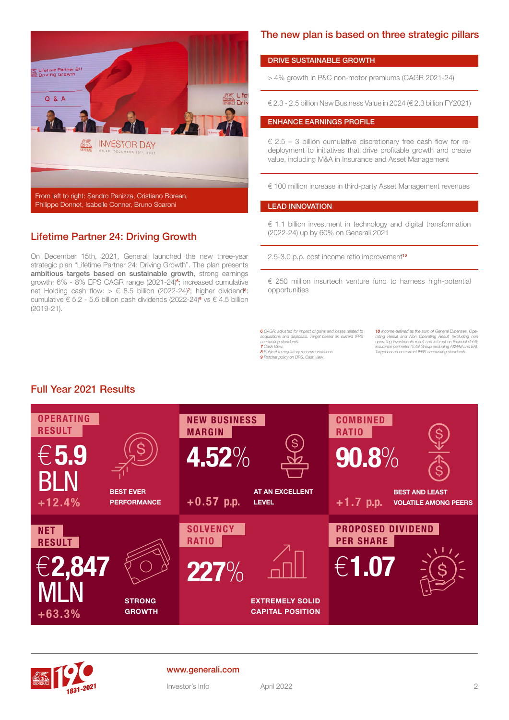

# Lifetime Partner 24: Driving Growth

On December 15th, 2021, Generali launched the new three-year strategic plan "Lifetime Partner 24: Driving Growth". The plan presents ambitious targets based on sustainable growth, strong earnings growth: 6% - 8% EPS CAGR range (2021-24)<sup>6</sup>; increased cumulative net Holding cash flow:  $> \epsilon$  8.5 billion (2022-24)<sup>7</sup>; higher dividend<sup>8</sup>: cumulative  $\epsilon$  5.2 - 5.6 billion cash dividends (2022-24)<sup>9</sup> vs  $\epsilon$  4.5 billion (2019-21).

# The new plan is based on three strategic pillars

#### DRIVE SUSTAINABLE GROWTH

> 4% growth in P&C non-motor premiums (CAGR 2021-24)

€ 2.3 - 2.5 billion New Business Value in 2024 (€ 2.3 billion FY2021)

#### ENHANCE EARNINGS PROFILE

 $\epsilon$  2.5 – 3 billion cumulative discretionary free cash flow for redeployment to initiatives that drive profitable growth and create value, including M&A in Insurance and Asset Management

€ 100 million increase in third-party Asset Management revenues

#### LEAD INNOVATION

€ 1.1 billion investment in technology and digital transformation (2022-24) up by 60% on Generali 2021

2.5-3.0 p.p. cost income ratio improvement<sup>10</sup>

€ 250 million insurtech venture fund to harness high-potential opportunities

 *CAGR; adjusted for impact of gains and losses related to acquisitions and disposals. Target based on current IFRS accounting standards. Cash View. Subject to regulatory recommendations. Ratchet policy on DPS. Cash view.*

*10 Income defined as the sum of General Expenses, Ope-rating Result and Non Operating Result (excluding non operating investments result and interest on financial debt); insurance perimeter (Total Group excluding A&WM and EA). Target based on current IFRS accounting standards.*

# Full Year 2021 Results





# www.generali.com

Investor's Info April 2022 2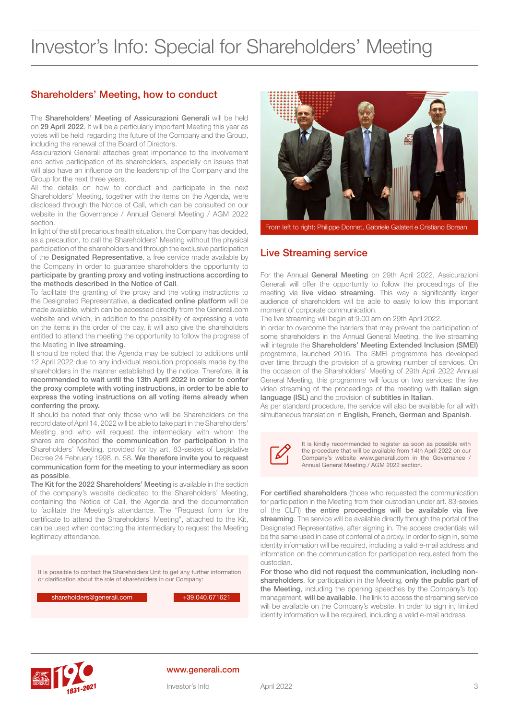# Investor's Info: Special for Shareholders' Meeting

# Shareholders' Meeting, how to conduct

The Shareholders' Meeting of Assicurazioni Generali will be held on 29 April 2022. It will be a particularly important Meeting this year as votes will be held regarding the future of the Company and the Group, including the renewal of the Board of Directors.

Assicurazioni Generali attaches great importance to the involvement and active participation of its shareholders, especially on issues that will also have an influence on the leadership of the Company and the Group for the next three years.

All the details on how to conduct and participate in the next Shareholders' Meeting, together with the items on the Agenda, were disclosed through the Notice of Call, which can be consulted on our website in the Governance / Annual General Meeting / AGM 2022 section.

In light of the still precarious health situation, the Company has decided, as a precaution, to call the Shareholders' Meeting without the physical participation of the shareholders and through the exclusive participation of the Designated Representative, a free service made available by the Company in order to guarantee shareholders the opportunity to participate by granting proxy and voting instructions according to the methods described in the Notice of Call.

To facilitate the granting of the proxy and the voting instructions to the Designated Representative, a dedicated online platform will be made available, which can be accessed directly from the Generali.com website and which, in addition to the possibility of expressing a vote on the items in the order of the day, it will also give the shareholders entitled to attend the meeting the opportunity to follow the progress of the Meeting in live streaming.

It should be noted that the Agenda may be subject to additions until 12 April 2022 due to any individual resolution proposals made by the shareholders in the manner established by the notice. Therefore, it is recommended to wait until the 13th April 2022 in order to confer the proxy complete with voting instructions, in order to be able to express the voting instructions on all voting items already when conferring the proxy.

It should be noted that only those who will be Shareholders on the record date of April 14, 2022 will be able to take part in the Shareholders' Meeting and who will request the intermediary with whom the shares are deposited the communication for participation in the Shareholders' Meeting, provided for by art. 83-sexies of Legislative Decree 24 February 1998, n. 58. We therefore invite you to request communication form for the meeting to your intermediary as soon as possible.

The Kit for the 2022 Shareholders' Meeting is available in the section of the company's website dedicated to the Shareholders' Meeting, containing the Notice of Call, the Agenda and the documentation to facilitate the Meeting's attendance. The "Request form for the certificate to attend the Shareholders' Meeting", attached to the Kit, can be used when contacting the intermediary to request the Meeting legitimacy attendance.

It is possible to contact the Shareholders Unit to get any further information or clarification about the role of shareholders in our Company:

shareholders@generali.com +39.040.671621



From left to right: Philippe Donnet, Gabriele Galateri e Cristiano Borea

### Live Streaming service

For the Annual General Meeting on 29th April 2022, Assicurazioni Generali will offer the opportunity to follow the proceedings of the meeting via live video streaming. This way a significantly larger audience of shareholders will be able to easily follow this important moment of corporate communication.

The live streaming will begin at 9.00 am on 29th April 2022.

In order to overcome the barriers that may prevent the participation of some shareholders in the Annual General Meeting, the live streaming will integrate the Shareholders' Meeting Extended Inclusion (SMEI) programme, launched 2016. The SMEI programme has developed over time through the provision of a growing number of services. On the occasion of the Shareholders' Meeting of 29th April 2022 Annual General Meeting, this programme will focus on two services: the live video streaming of the proceedings of the meeting with Italian sign language (ISL) and the provision of subtitles in Italian.

As per standard procedure, the service will also be available for all with simultaneous translation in English, French, German and Spanish.



It is kindly recommended to register as soon as possible with the procedure that will be available from 14th April 2022 on our Company's website www.generali.com in the Governance / Annual General Meeting / AGM 2022 section.

For certified shareholders (those who requested the communication for participation in the Meeting from their custodian under art. 83-sexies of the CLFI) the entire proceedings will be available via live streaming. The service will be available directly through the portal of the Designated Representative, after signing in. The access credentials will be the same used in case of conferral of a proxy. In order to sign in, some identity information will be required, including a valid e-mail address and information on the communication for participation requested from the custodian.

For those who did not request the communication, including nonshareholders, for participation in the Meeting, only the public part of the Meeting, including the opening speeches by the Company's top management, will be available. The link to access the streaming service will be available on the Company's website. In order to sign in, limited identity information will be required, including a valid e-mail address.



# www.generali.com

Investor's Info **April 2022** 3